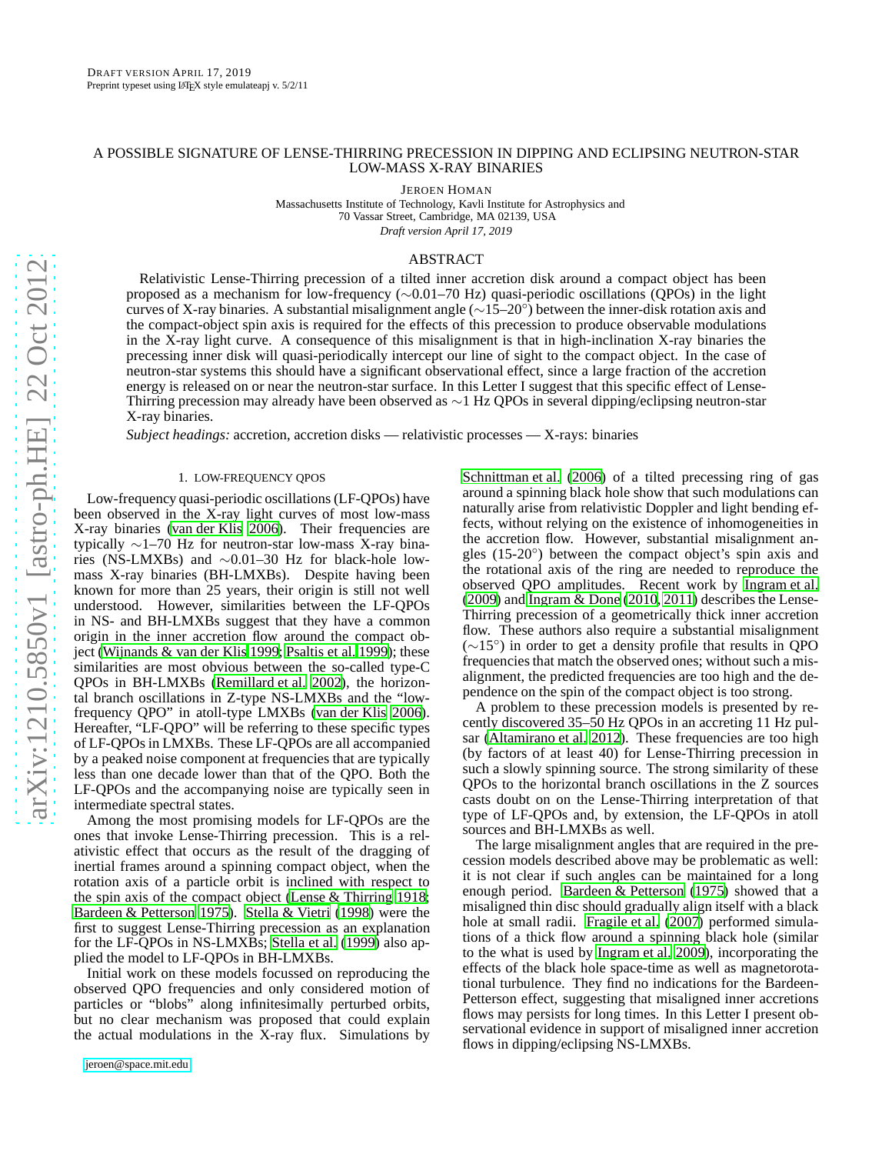# A POSSIBLE SIGNATURE OF LENSE-THIRRING PRECESSION IN DIPPING AND ECLIPSING NEUTRON-STAR LOW-MASS X-RAY BINARIES

JEROEN HOMAN

Massachusetts Institute of Technology, Kavli Institute for Astrophysics and 70 Vassar Street, Cambridge, MA 02139, USA *Draft version April 17, 2019*

## ABSTRACT

Relativistic Lense-Thirring precession of a tilted inner accretion disk around a compact object has been proposed as a mechanism for low-frequency (∼0.01–70 Hz) quasi-periodic oscillations (QPOs) in the light curves of X-ray binaries. A substantial misalignment angle (∼15–20◦ ) between the inner-disk rotation axis and the compact-object spin axis is required for the effects of this precession to produce observable modulations in the X-ray light curve. A consequence of this misalignment is that in high-inclination X-ray binaries the precessing inner disk will quasi-periodically intercept our line of sight to the compact object. In the case of neutron-star systems this should have a significant observational effect, since a large fraction of the accretion energy is released on or near the neutron-star surface. In this Letter I suggest that this specific effect of Lense-Thirring precession may already have been observed as ∼1 Hz QPOs in several dipping/eclipsing neutron-star X-ray binaries.

*Subject headings:* accretion, accretion disks — relativistic processes — X-rays: binaries

# 1. LOW-FREQUENCY QPOS

<span id="page-0-0"></span>Low-frequency quasi-periodic oscillations (LF-QPOs) have been observed in the X-ray light curves of most low-mass X-ray binaries [\(van der Klis 2006](#page-3-0)). Their frequencies are typically ∼1–70 Hz for neutron-star low-mass X-ray binaries (NS-LMXBs) and ∼0.01–30 Hz for black-hole lowmass X-ray binaries (BH-LMXBs). Despite having been known for more than 25 years, their origin is still not well understood. However, similarities between the LF-QPOs in NS- and BH-LMXBs suggest that they have a common origin in the inner accretion flow around the compact object [\(Wijnands & van der Klis 1999;](#page-3-1) [Psaltis et al. 1999\)](#page-3-2); these similarities are most obvious between the so-called type-C QPOs in BH-LMXBs [\(Remillard et al. 2002](#page-3-3)), the horizontal branch oscillations in Z-type NS-LMXBs and the "lowfrequency QPO" in atoll-type LMXBs [\(van der Klis 2006\)](#page-3-0). Hereafter, "LF-QPO" will be referring to these specific types of LF-QPOs in LMXBs. These LF-QPOs are all accompanied by a peaked noise component at frequencies that are typically less than one decade lower than that of the QPO. Both the LF-QPOs and the accompanying noise are typically seen in intermediate spectral states.

Among the most promising models for LF-QPOs are the ones that invoke Lense-Thirring precession. This is a relativistic effect that occurs as the result of the dragging of inertial frames around a spinning compact object, when the rotation axis of a particle orbit is inclined with respect to the spin axis of the compact object [\(Lense & Thirring 1918;](#page-3-4) [Bardeen & Petterson 1975](#page-3-5)). [Stella & Vietri](#page-3-6) [\(1998\)](#page-3-6) were the first to suggest Lense-Thirring precession as an explanation for the LF-QPOs in NS-LMXBs; [Stella et al. \(1999\)](#page-3-7) also applied the model to LF-QPOs in BH-LMXBs.

Initial work on these models focussed on reproducing the observed QPO frequencies and only considered motion of particles or "blobs" along infinitesimally perturbed orbits, but no clear mechanism was proposed that could explain the actual modulations in the X-ray flux. Simulations by

[Schnittman et al. \(2006\)](#page-3-8) of a tilted precessing ring of gas around a spinning black hole show that such modulations can naturally arise from relativistic Doppler and light bending effects, without relying on the existence of inhomogeneities in the accretion flow. However, substantial misalignment angles (15-20◦ ) between the compact object's spin axis and the rotational axis of the ring are needed to reproduce the observed QPO amplitudes. Recent work by [Ingram et al.](#page-3-9) [\(2009\)](#page-3-9) and [Ingram & Done \(2010,](#page-3-10) [2011\)](#page-3-11) describes the Lense-Thirring precession of a geometrically thick inner accretion flow. These authors also require a substantial misalignment (∼15◦ ) in order to get a density profile that results in QPO frequencies that match the observed ones; without such a misalignment, the predicted frequencies are too high and the dependence on the spin of the compact object is too strong.

A problem to these precession models is presented by recently discovered 35–50 Hz QPOs in an accreting 11 Hz pul-sar [\(Altamirano et al. 2012](#page-3-12)). These frequencies are too high (by factors of at least 40) for Lense-Thirring precession in such a slowly spinning source. The strong similarity of these QPOs to the horizontal branch oscillations in the Z sources casts doubt on on the Lense-Thirring interpretation of that type of LF-QPOs and, by extension, the LF-QPOs in atoll sources and BH-LMXBs as well.

The large misalignment angles that are required in the precession models described above may be problematic as well: it is not clear if such angles can be maintained for a long enough period. [Bardeen & Petterson \(1975\)](#page-3-5) showed that a misaligned thin disc should gradually align itself with a black hole at small radii. [Fragile et al.](#page-3-13) [\(2007\)](#page-3-13) performed simulations of a thick flow around a spinning black hole (similar to the what is used by [Ingram et al. 2009\)](#page-3-9), incorporating the effects of the black hole space-time as well as magnetorotational turbulence. They find no indications for the Bardeen-Petterson effect, suggesting that misaligned inner accretions flows may persists for long times. In this Letter I present observational evidence in support of misaligned inner accretion flows in dipping/eclipsing NS-LMXBs.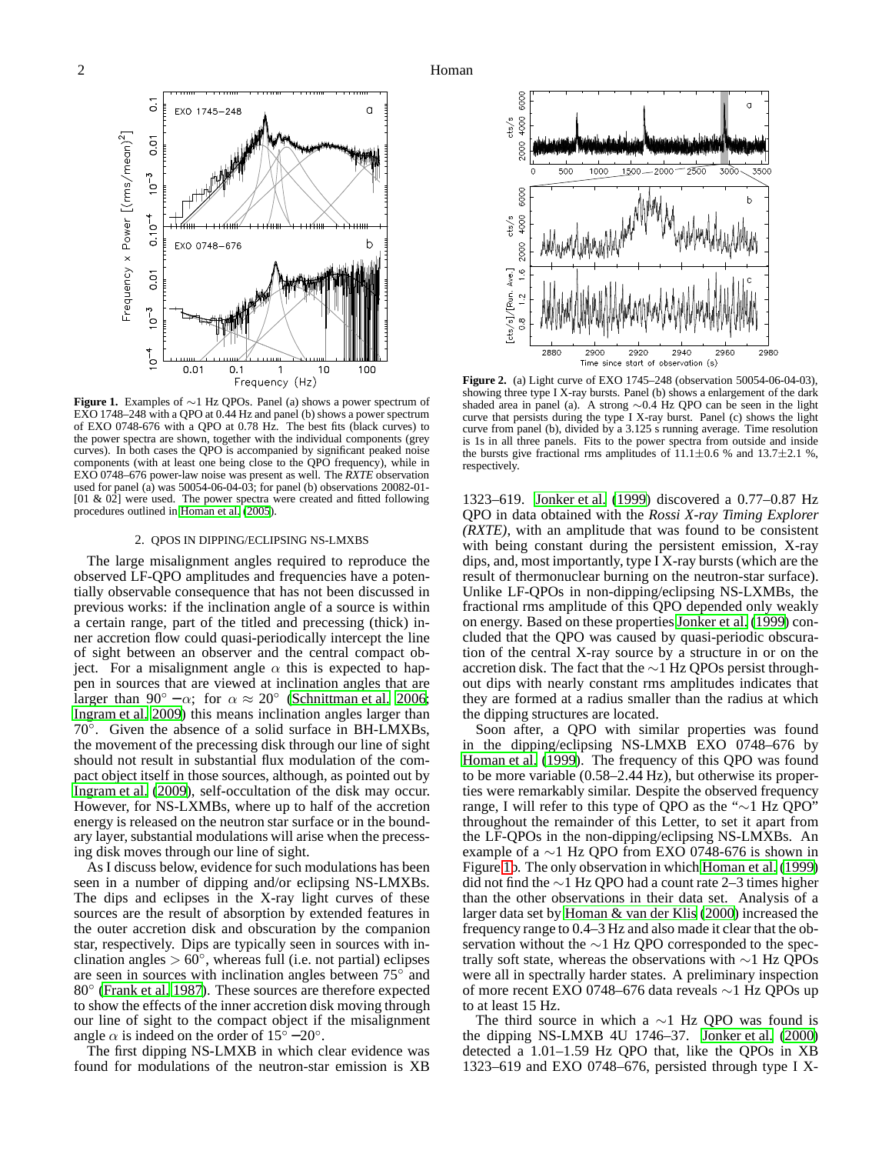

<span id="page-1-0"></span>**Figure 1.** Examples of ∼1 Hz QPOs. Panel (a) shows a power spectrum of EXO 1748–248 with a QPO at 0.44 Hz and panel (b) shows a power spectrum of EXO 0748-676 with a QPO at 0.78 Hz. The best fits (black curves) to the power spectra are shown, together with the individual components (grey curves). In both cases the QPO is accompanied by significant peaked noise components (with at least one being close to the QPO frequency), while in EXO 0748–676 power-law noise was present as well. The *RXTE* observation used for panel (a) was  $50054-06-04-03$ ; for panel (b) observations  $20082-01 [01 \& 02]$  were used. The power spectra were created and fitted following procedures outlined in [Homan et al.](#page-3-14) [\(2005](#page-3-14)).

#### 2. QPOS IN DIPPING/ECLIPSING NS-LMXBS

The large misalignment angles required to reproduce the observed LF-QPO amplitudes and frequencies have a potentially observable consequence that has not been discussed in previous works: if the inclination angle of a source is within a certain range, part of the titled and precessing (thick) inner accretion flow could quasi-periodically intercept the line of sight between an observer and the central compact object. For a misalignment angle  $\alpha$  this is expected to happen in sources that are viewed at inclination angles that are larger than  $90^\circ - \alpha$ ; for  $\alpha \approx 20^\circ$  [\(Schnittman et al. 2006;](#page-3-8) [Ingram et al. 2009\)](#page-3-9) this means inclination angles larger than  $70^{\circ}$ . Given the absence of a solid surface in BH-LMXBs, the movement of the precessing disk through our line of sight should not result in substantial flux modulation of the compact object itself in those sources, although, as pointed out by [Ingram et al. \(2009](#page-3-9)), self-occultation of the disk may occur. However, for NS-LXMBs, where up to half of the accretion energy is released on the neutron star surface or in the boundary layer, substantial modulations will arise when the precessing disk moves through our line of sight.

As I discuss below, evidence for such modulations has been seen in a number of dipping and/or eclipsing NS-LMXBs. The dips and eclipses in the X-ray light curves of these sources are the result of absorption by extended features in the outer accretion disk and obscuration by the companion star, respectively. Dips are typically seen in sources with inclination angles  $> 60^\circ$ , whereas full (i.e. not partial) eclipses are seen in sources with inclination angles between 75° and 80◦ [\(Frank et al. 1987\)](#page-3-15). These sources are therefore expected to show the effects of the inner accretion disk moving through our line of sight to the compact object if the misalignment angle  $\alpha$  is indeed on the order of 15° – 20°.

The first dipping NS-LMXB in which clear evidence was found for modulations of the neutron-star emission is XB



<span id="page-1-1"></span>**Figure 2.** (a) Light curve of EXO 1745–248 (observation 50054-06-04-03), showing three type I X-ray bursts. Panel (b) shows a enlargement of the dark shaded area in panel (a). A strong ∼0.4 Hz QPO can be seen in the light curve that persists during the type I X-ray burst. Panel (c) shows the light curve from panel (b), divided by a 3.125 s running average. Time resolution is 1s in all three panels. Fits to the power spectra from outside and inside the bursts give fractional rms amplitudes of  $11.1 \pm 0.6$  % and  $13.7 \pm 2.1$  %, respectively.

1323–619. [Jonker et al.](#page-3-16) [\(1999\)](#page-3-16) discovered a 0.77–0.87 Hz QPO in data obtained with the *Rossi X-ray Timing Explorer (RXTE)*, with an amplitude that was found to be consistent with being constant during the persistent emission, X-ray dips, and, most importantly, type I X-ray bursts (which are the result of thermonuclear burning on the neutron-star surface). Unlike LF-QPOs in non-dipping/eclipsing NS-LXMBs, the fractional rms amplitude of this QPO depended only weakly on energy. Based on these properties [Jonker et al. \(1999\)](#page-3-16) concluded that the QPO was caused by quasi-periodic obscuration of the central X-ray source by a structure in or on the accretion disk. The fact that the ∼1 Hz QPOs persist throughout dips with nearly constant rms amplitudes indicates that they are formed at a radius smaller than the radius at which the dipping structures are located.

Soon after, a QPO with similar properties was found in the dipping/eclipsing NS-LMXB EXO 0748–676 by [Homan et al. \(1999\)](#page-3-17). The frequency of this QPO was found to be more variable (0.58–2.44 Hz), but otherwise its properties were remarkably similar. Despite the observed frequency range, I will refer to this type of QPO as the "∼1 Hz QPO" throughout the remainder of this Letter, to set it apart from the LF-QPOs in the non-dipping/eclipsing NS-LMXBs. An example of a ∼1 Hz QPO from EXO 0748-676 is shown in Figure [1b](#page-1-0). The only observation in which [Homan et al.](#page-3-17) [\(1999\)](#page-3-17) did not find the ∼1 Hz QPO had a count rate 2–3 times higher than the other observations in their data set. Analysis of a larger data set by [Homan & van der Klis \(2000](#page-3-18)) increased the frequency range to 0.4–3 Hz and also made it clear that the observation without the ∼1 Hz QPO corresponded to the spectrally soft state, whereas the observations with ∼1 Hz QPOs were all in spectrally harder states. A preliminary inspection of more recent EXO 0748–676 data reveals ∼1 Hz QPOs up to at least 15 Hz.

The third source in which a  $\sim$ 1 Hz QPO was found is the dipping NS-LMXB 4U 1746–37. [Jonker et al.](#page-3-19) [\(2000\)](#page-3-19) detected a 1.01–1.59 Hz QPO that, like the QPOs in XB 1323–619 and EXO 0748–676, persisted through type I X-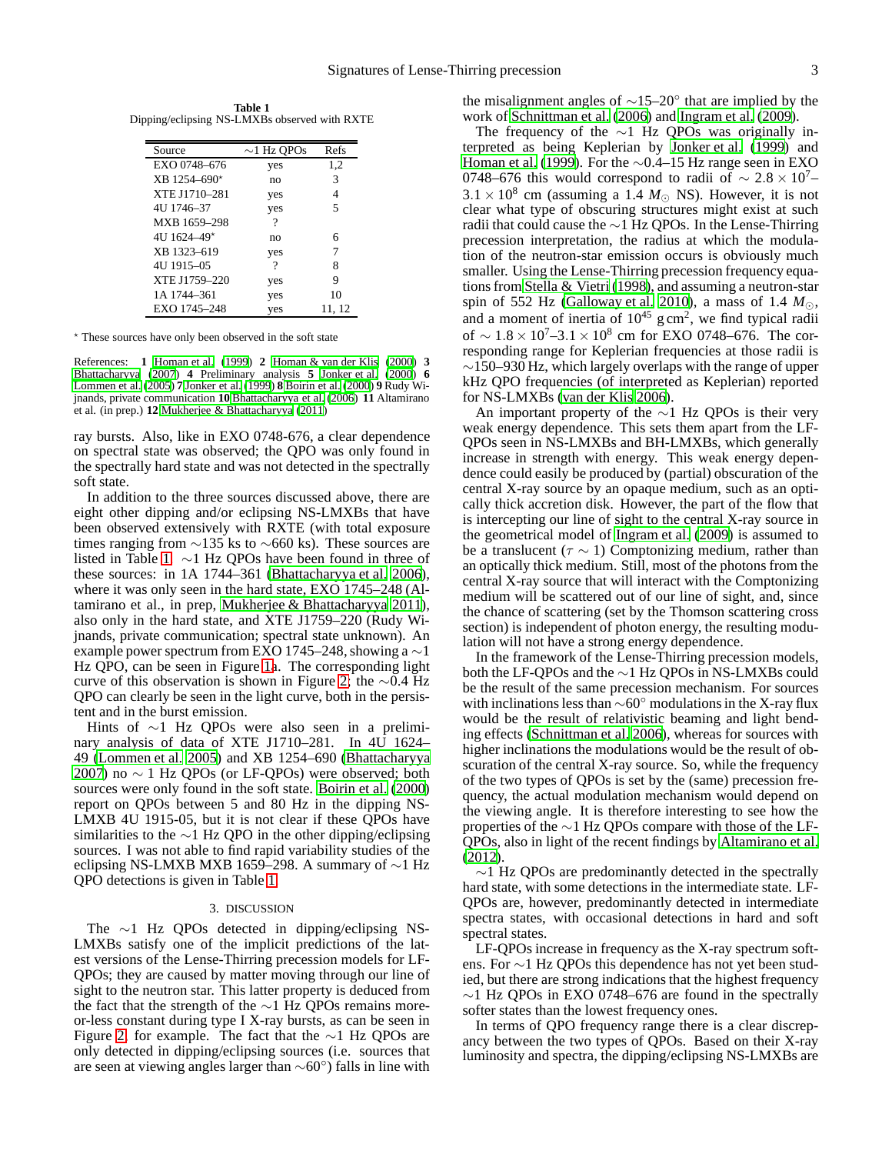<span id="page-2-0"></span>**Table 1** Dipping/eclipsing NS-LMXBs observed with RXTE

| Source         | $\sim$ 1 Hz QPOs | Refs   |
|----------------|------------------|--------|
| EXO 0748-676   | yes              | 1,2    |
| $XB$ 1254-690* | no               | 3      |
| XTE J1710-281  | yes              | 4      |
| 4U 1746–37     | yes              | 5      |
| MXB 1659-298   | ?                |        |
| 4U 1624-49*    | no               | 6      |
| XB 1323-619    | yes              |        |
| 4U 1915-05     | ?                | 8      |
| XTE J1759-220  | yes              | 9      |
| 1A 1744–361    | yes              | 10     |
| EXO 1745-248   | yes              | 11, 12 |

<sup>⋆</sup> These sources have only been observed in the soft state

References: **1** [Homan et al. \(1999\)](#page-3-17) **2** [Homan & van der Klis \(2000](#page-3-18)) **3** [Bhattacharyya](#page-3-20) [\(2007](#page-3-20)) **4** Preliminary analysis **5** [Jonker et al. \(2000](#page-3-19)) **6** [Lommen et al. \(2005](#page-3-21)) **7** [Jonker et al. \(1999](#page-3-16)) **8** [Boirin et al. \(2000](#page-3-22)) **9** Rudy Wijnands, private communication **10** [Bhattacharyya et al. \(2006](#page-3-23)) **11** Altamirano et al. (in prep.) **12** [Mukherjee & Bhattacharyya \(2011](#page-3-24))

ray bursts. Also, like in EXO 0748-676, a clear dependence on spectral state was observed; the QPO was only found in the spectrally hard state and was not detected in the spectrally soft state.

In addition to the three sources discussed above, there are eight other dipping and/or eclipsing NS-LMXBs that have been observed extensively with RXTE (with total exposure times ranging from  $\sim$ 135 ks to  $\sim$ 660 ks). These sources are listed in Table [1.](#page-2-0) ∼1 Hz QPOs have been found in three of these sources: in 1A 1744–361 [\(Bhattacharyya et al. 2006\)](#page-3-23), where it was only seen in the hard state, EXO 1745–248 (Altamirano et al., in prep, [Mukherjee & Bhattacharyya 2011\)](#page-3-24), also only in the hard state, and XTE J1759–220 (Rudy Wijnands, private communication; spectral state unknown). An example power spectrum from EXO 1745–248, showing a  $\sim$ 1 Hz QPO, can be seen in Figure [1a](#page-1-0). The corresponding light curve of this observation is shown in Figure [2;](#page-1-1) the ∼0.4 Hz QPO can clearly be seen in the light curve, both in the persistent and in the burst emission.

Hints of ∼1 Hz QPOs were also seen in a preliminary analysis of data of XTE J1710–281. In 4U 1624– 49 [\(Lommen et al. 2005\)](#page-3-21) and XB 1254–690 [\(Bhattacharyya](#page-3-20) [2007\)](#page-3-20) no  $\sim$  1 Hz QPOs (or LF-QPOs) were observed; both sources were only found in the soft state. [Boirin et al. \(2000\)](#page-3-22) report on QPOs between 5 and 80 Hz in the dipping NS-LMXB 4U 1915-05, but it is not clear if these QPOs have similarities to the  $\sim$ 1 Hz QPO in the other dipping/eclipsing sources. I was not able to find rapid variability studies of the eclipsing NS-LMXB MXB 1659–298. A summary of ∼1 Hz QPO detections is given in Table [1.](#page-2-0)

### 3. DISCUSSION

The ∼1 Hz QPOs detected in dipping/eclipsing NS-LMXBs satisfy one of the implicit predictions of the latest versions of the Lense-Thirring precession models for LF-QPOs; they are caused by matter moving through our line of sight to the neutron star. This latter property is deduced from the fact that the strength of the ∼1 Hz QPOs remains moreor-less constant during type I X-ray bursts, as can be seen in Figure [2,](#page-1-1) for example. The fact that the ∼1 Hz QPOs are only detected in dipping/eclipsing sources (i.e. sources that are seen at viewing angles larger than ∼60◦ ) falls in line with

the misalignment angles of  $\sim$ 15–20<sup>°</sup> that are implied by the work of [Schnittman et al. \(2006](#page-3-8)) and [Ingram et al. \(2009\)](#page-3-9).

The frequency of the ∼1 Hz QPOs was originally interpreted as being Keplerian by [Jonker et al.](#page-3-16) [\(1999\)](#page-3-16) and [Homan et al.](#page-3-17) [\(1999\)](#page-3-17). For the ∼0.4–15 Hz range seen in EXO 0748–676 this would correspond to radii of  $\sim 2.8 \times 10^{-7}$  $3.1 \times 10^8$  cm (assuming a 1.4  $M_{\odot}$  NS). However, it is not clear what type of obscuring structures might exist at such radii that could cause the ∼1 Hz QPOs. In the Lense-Thirring precession interpretation, the radius at which the modulation of the neutron-star emission occurs is obviously much smaller. Using the Lense-Thirring precession frequency equations from [Stella & Vietri](#page-3-6) [\(1998\)](#page-3-6), and assuming a neutron-star spin of 552 Hz [\(Galloway et al. 2010\)](#page-3-25), a mass of 1.4 *M*⊙, and a moment of inertia of  $10^{45}$  g cm<sup>2</sup>, we find typical radii of ~  $1.8 \times 10^7 - 3.1 \times 10^8$  cm for EXO 0748–676. The corresponding range for Keplerian frequencies at those radii is ∼150–930 Hz, which largely overlaps with the range of upper kHz QPO frequencies (of interpreted as Keplerian) reported for NS-LMXBs [\(van der Klis 2006](#page-3-0)).

An important property of the ∼1 Hz QPOs is their very weak energy dependence. This sets them apart from the LF-QPOs seen in NS-LMXBs and BH-LMXBs, which generally increase in strength with energy. This weak energy dependence could easily be produced by (partial) obscuration of the central X-ray source by an opaque medium, such as an optically thick accretion disk. However, the part of the flow that is intercepting our line of sight to the central X-ray source in the geometrical model of [Ingram et al. \(2009](#page-3-9)) is assumed to be a translucent ( $\tau \sim 1$ ) Comptonizing medium, rather than an optically thick medium. Still, most of the photons from the central X-ray source that will interact with the Comptonizing medium will be scattered out of our line of sight, and, since the chance of scattering (set by the Thomson scattering cross section) is independent of photon energy, the resulting modulation will not have a strong energy dependence.

In the framework of the Lense-Thirring precession models, both the LF-QPOs and the ∼1 Hz QPOs in NS-LMXBs could be the result of the same precession mechanism. For sources with inclinations less than ∼60◦ modulations in the X-ray flux would be the result of relativistic beaming and light bending effects [\(Schnittman et al. 2006\)](#page-3-8), whereas for sources with higher inclinations the modulations would be the result of obscuration of the central X-ray source. So, while the frequency of the two types of QPOs is set by the (same) precession frequency, the actual modulation mechanism would depend on the viewing angle. It is therefore interesting to see how the properties of the ∼1 Hz QPOs compare with those of the LF-QPOs, also in light of the recent findings by [Altamirano et al.](#page-3-12) [\(2012\)](#page-3-12).

 $\sim$ 1 Hz QPOs are predominantly detected in the spectrally hard state, with some detections in the intermediate state. LF-QPOs are, however, predominantly detected in intermediate spectra states, with occasional detections in hard and soft spectral states.

LF-QPOs increase in frequency as the X-ray spectrum softens. For ∼1 Hz QPOs this dependence has not yet been studied, but there are strong indications that the highest frequency  $\sim$ 1 Hz QPOs in EXO 0748–676 are found in the spectrally softer states than the lowest frequency ones.

In terms of QPO frequency range there is a clear discrepancy between the two types of QPOs. Based on their X-ray luminosity and spectra, the dipping/eclipsing NS-LMXBs are